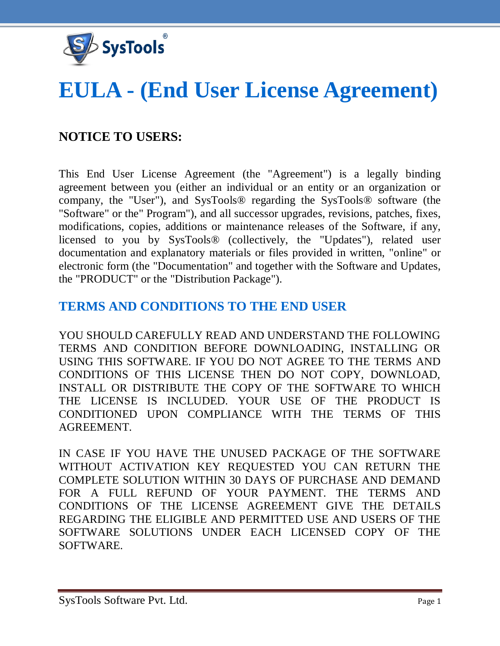

# **EULA - (End User License Agreement)**

# **NOTICE TO USERS:**

This End User License Agreement (the "Agreement") is a legally binding agreement between you (either an individual or an entity or an organization or company, the "User"), and SysTools® regarding the SysTools® software (the "Software" or the" Program"), and all successor upgrades, revisions, patches, fixes, modifications, copies, additions or maintenance releases of the Software, if any, licensed to you by SysTools® (collectively, the "Updates"), related user documentation and explanatory materials or files provided in written, "online" or electronic form (the "Documentation" and together with the Software and Updates, the "PRODUCT" or the "Distribution Package").

# **TERMS AND CONDITIONS TO THE END USER**

YOU SHOULD CAREFULLY READ AND UNDERSTAND THE FOLLOWING TERMS AND CONDITION BEFORE DOWNLOADING, INSTALLING OR USING THIS SOFTWARE. IF YOU DO NOT AGREE TO THE TERMS AND CONDITIONS OF THIS LICENSE THEN DO NOT COPY, DOWNLOAD, INSTALL OR DISTRIBUTE THE COPY OF THE SOFTWARE TO WHICH THE LICENSE IS INCLUDED. YOUR USE OF THE PRODUCT IS CONDITIONED UPON COMPLIANCE WITH THE TERMS OF THIS AGREEMENT.

IN CASE IF YOU HAVE THE UNUSED PACKAGE OF THE SOFTWARE WITHOUT ACTIVATION KEY REQUESTED YOU CAN RETURN THE COMPLETE SOLUTION WITHIN 30 DAYS OF PURCHASE AND DEMAND FOR A FULL REFUND OF YOUR PAYMENT. THE TERMS AND CONDITIONS OF THE LICENSE AGREEMENT GIVE THE DETAILS REGARDING THE ELIGIBLE AND PERMITTED USE AND USERS OF THE SOFTWARE SOLUTIONS UNDER EACH LICENSED COPY OF THE SOFTWARE.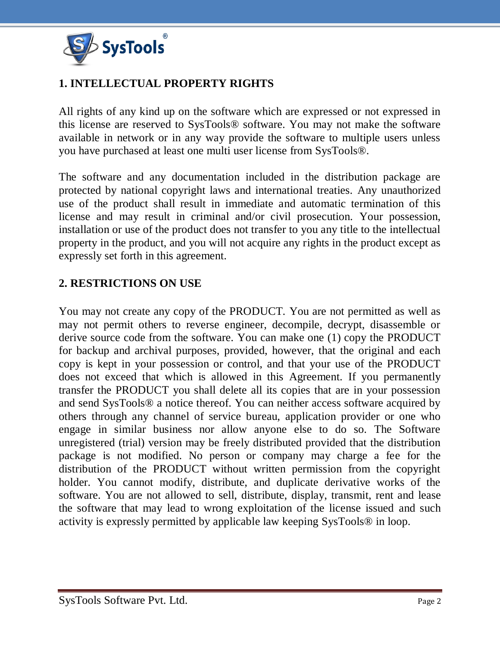

## **1. INTELLECTUAL PROPERTY RIGHTS**

All rights of any kind up on the software which are expressed or not expressed in this license are reserved to SysTools® software. You may not make the software available in network or in any way provide the software to multiple users unless you have purchased at least one multi user license from SysTools®.

The software and any documentation included in the distribution package are protected by national copyright laws and international treaties. Any unauthorized use of the product shall result in immediate and automatic termination of this license and may result in criminal and/or civil prosecution. Your possession, installation or use of the product does not transfer to you any title to the intellectual property in the product, and you will not acquire any rights in the product except as expressly set forth in this agreement.

#### **2. RESTRICTIONS ON USE**

You may not create any copy of the PRODUCT. You are not permitted as well as may not permit others to reverse engineer, decompile, decrypt, disassemble or derive source code from the software. You can make one (1) copy the PRODUCT for backup and archival purposes, provided, however, that the original and each copy is kept in your possession or control, and that your use of the PRODUCT does not exceed that which is allowed in this Agreement. If you permanently transfer the PRODUCT you shall delete all its copies that are in your possession and send SysTools® a notice thereof. You can neither access software acquired by others through any channel of service bureau, application provider or one who engage in similar business nor allow anyone else to do so. The Software unregistered (trial) version may be freely distributed provided that the distribution package is not modified. No person or company may charge a fee for the distribution of the PRODUCT without written permission from the copyright holder. You cannot modify, distribute, and duplicate derivative works of the software. You are not allowed to sell, distribute, display, transmit, rent and lease the software that may lead to wrong exploitation of the license issued and such activity is expressly permitted by applicable law keeping SysTools® in loop.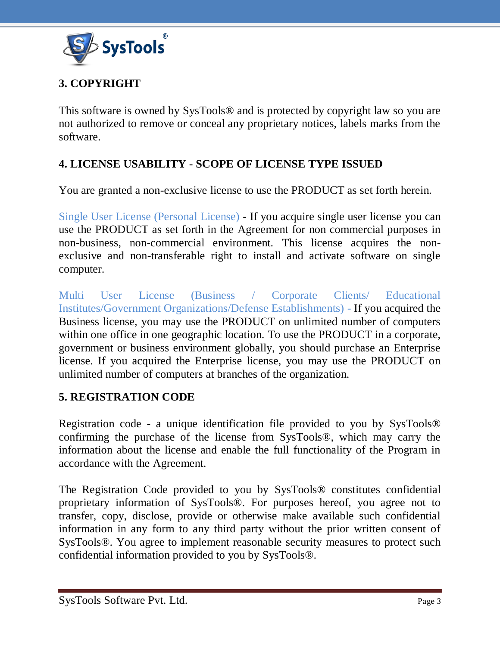

# **3. COPYRIGHT**

This software is owned by SysTools® and is protected by copyright law so you are not authorized to remove or conceal any proprietary notices, labels marks from the software.

## **4. LICENSE USABILITY - SCOPE OF LICENSE TYPE ISSUED**

You are granted a non-exclusive license to use the PRODUCT as set forth herein.

Single User License (Personal License) - If you acquire single user license you can use the PRODUCT as set forth in the Agreement for non commercial purposes in non-business, non-commercial environment. This license acquires the nonexclusive and non-transferable right to install and activate software on single computer.

Multi User License (Business / Corporate Clients/ Educational Institutes/Government Organizations/Defense Establishments) - If you acquired the Business license, you may use the PRODUCT on unlimited number of computers within one office in one geographic location. To use the PRODUCT in a corporate, government or business environment globally, you should purchase an Enterprise license. If you acquired the Enterprise license, you may use the PRODUCT on unlimited number of computers at branches of the organization.

#### **5. REGISTRATION CODE**

Registration code - a unique identification file provided to you by SysTools® confirming the purchase of the license from SysTools®, which may carry the information about the license and enable the full functionality of the Program in accordance with the Agreement.

The Registration Code provided to you by SysTools® constitutes confidential proprietary information of SysTools®. For purposes hereof, you agree not to transfer, copy, disclose, provide or otherwise make available such confidential information in any form to any third party without the prior written consent of SysTools®. You agree to implement reasonable security measures to protect such confidential information provided to you by SysTools®.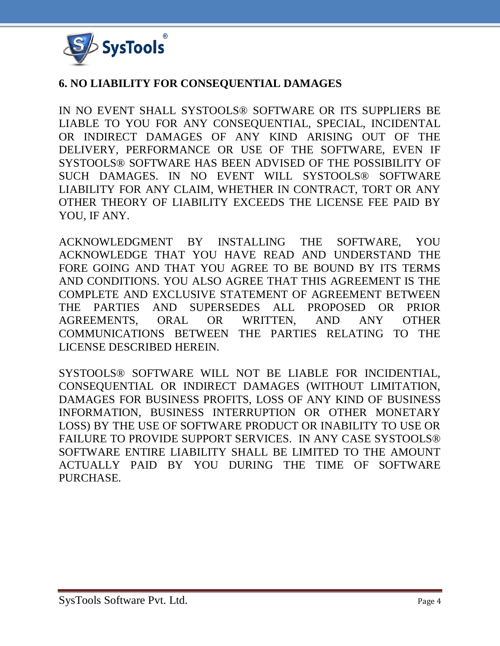

#### **6. NO LIABILITY FOR CONSEQUENTIAL DAMAGES**

IN NO EVENT SHALL SYSTOOLS® SOFTWARE OR ITS SUPPLIERS BE LIABLE TO YOU FOR ANY CONSEQUENTIAL, SPECIAL, INCIDENTAL OR INDIRECT DAMAGES OF ANY KIND ARISING OUT OF THE DELIVERY, PERFORMANCE OR USE OF THE SOFTWARE, EVEN IF SYSTOOLS® SOFTWARE HAS BEEN ADVISED OF THE POSSIBILITY OF SUCH DAMAGES. IN NO EVENT WILL SYSTOOLS® SOFTWARE LIABILITY FOR ANY CLAIM, WHETHER IN CONTRACT, TORT OR ANY OTHER THEORY OF LIABILITY EXCEEDS THE LICENSE FEE PAID BY YOU, IF ANY.

ACKNOWLEDGMENT BY INSTALLING THE SOFTWARE, YOU ACKNOWLEDGE THAT YOU HAVE READ AND UNDERSTAND THE FORE GOING AND THAT YOU AGREE TO BE BOUND BY ITS TERMS AND CONDITIONS. YOU ALSO AGREE THAT THIS AGREEMENT IS THE COMPLETE AND EXCLUSIVE STATEMENT OF AGREEMENT BETWEEN THE PARTIES AND SUPERSEDES ALL PROPOSED OR PRIOR AGREEMENTS, ORAL OR WRITTEN, AND ANY OTHER COMMUNICATIONS BETWEEN THE PARTIES RELATING TO THE LICENSE DESCRIBED HEREIN.

SYSTOOLS® SOFTWARE WILL NOT BE LIABLE FOR INCIDENTIAL, CONSEQUENTIAL OR INDIRECT DAMAGES (WITHOUT LIMITATION, DAMAGES FOR BUSINESS PROFITS, LOSS OF ANY KIND OF BUSINESS INFORMATION, BUSINESS INTERRUPTION OR OTHER MONETARY LOSS) BY THE USE OF SOFTWARE PRODUCT OR INABILITY TO USE OR FAILURE TO PROVIDE SUPPORT SERVICES. IN ANY CASE SYSTOOLS® SOFTWARE ENTIRE LIABILITY SHALL BE LIMITED TO THE AMOUNT ACTUALLY PAID BY YOU DURING THE TIME OF SOFTWARE PURCHASE.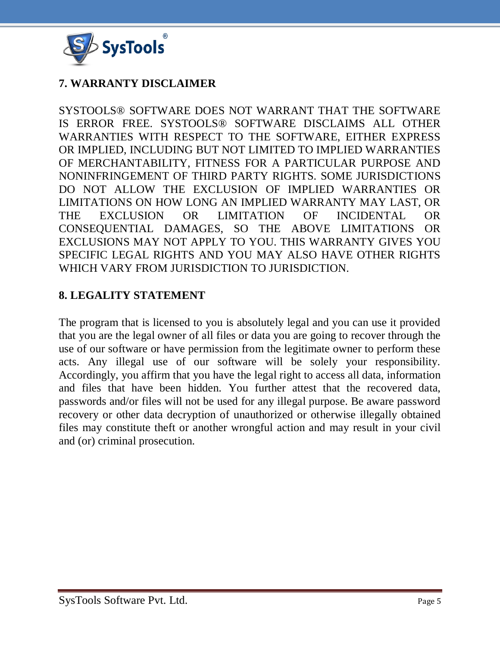

#### **7. WARRANTY DISCLAIMER**

SYSTOOLS® SOFTWARE DOES NOT WARRANT THAT THE SOFTWARE IS ERROR FREE. SYSTOOLS® SOFTWARE DISCLAIMS ALL OTHER WARRANTIES WITH RESPECT TO THE SOFTWARE, EITHER EXPRESS OR IMPLIED, INCLUDING BUT NOT LIMITED TO IMPLIED WARRANTIES OF MERCHANTABILITY, FITNESS FOR A PARTICULAR PURPOSE AND NONINFRINGEMENT OF THIRD PARTY RIGHTS. SOME JURISDICTIONS DO NOT ALLOW THE EXCLUSION OF IMPLIED WARRANTIES OR LIMITATIONS ON HOW LONG AN IMPLIED WARRANTY MAY LAST, OR THE EXCLUSION OR LIMITATION OF INCIDENTAL OR CONSEQUENTIAL DAMAGES, SO THE ABOVE LIMITATIONS OR EXCLUSIONS MAY NOT APPLY TO YOU. THIS WARRANTY GIVES YOU SPECIFIC LEGAL RIGHTS AND YOU MAY ALSO HAVE OTHER RIGHTS WHICH VARY FROM JURISDICTION TO JURISDICTION.

#### **8. LEGALITY STATEMENT**

The program that is licensed to you is absolutely legal and you can use it provided that you are the legal owner of all files or data you are going to recover through the use of our software or have permission from the legitimate owner to perform these acts. Any illegal use of our software will be solely your responsibility. Accordingly, you affirm that you have the legal right to access all data, information and files that have been hidden. You further attest that the recovered data, passwords and/or files will not be used for any illegal purpose. Be aware password recovery or other data decryption of unauthorized or otherwise illegally obtained files may constitute theft or another wrongful action and may result in your civil and (or) criminal prosecution.